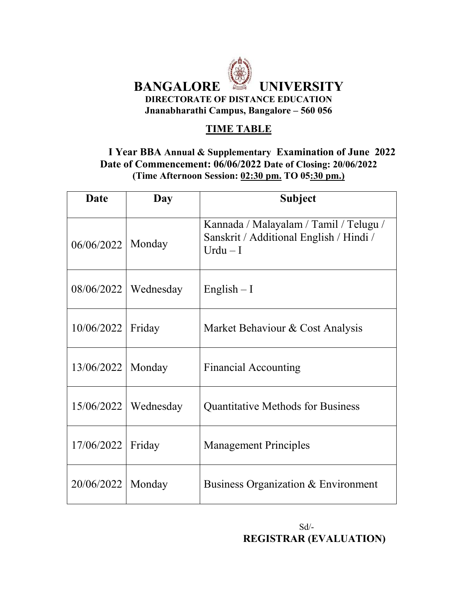

### **TIME TABLE**

#### **I Year BBA Annual & Supplementary Examination of June 2022 Date of Commencement: 06/06/2022 Date of Closing: 20/06/2022 (Time Afternoon Session: 02:30 pm. TO 05:30 pm.)**

| <b>Date</b>         | Day                      | <b>Subject</b>                                                                                |
|---------------------|--------------------------|-----------------------------------------------------------------------------------------------|
| 06/06/2022          | Monday                   | Kannada / Malayalam / Tamil / Telugu /<br>Sanskrit / Additional English / Hindi /<br>$Urdu-I$ |
|                     | $08/06/2022$   Wednesday | English $-1$                                                                                  |
| 10/06/2022   Friday |                          | Market Behaviour & Cost Analysis                                                              |
| 13/06/2022          | Monday                   | <b>Financial Accounting</b>                                                                   |
|                     | $15/06/2022$   Wednesday | <b>Quantitative Methods for Business</b>                                                      |
| 17/06/2022          | Friday                   | <b>Management Principles</b>                                                                  |
| 20/06/2022          | Monday                   | Business Organization & Environment                                                           |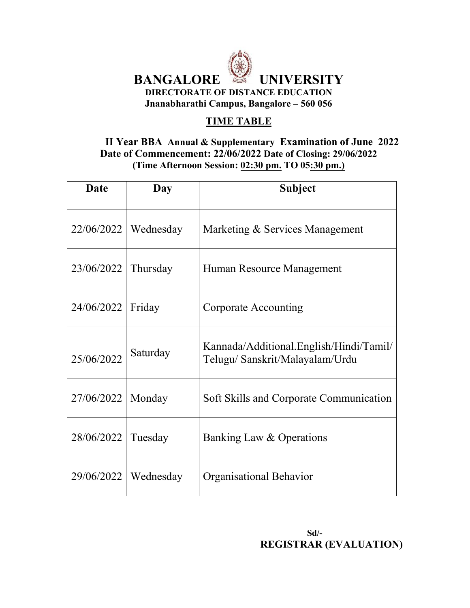

## **TIME TABLE**

#### **II Year BBA Annual & Supplementary Examination of June 2022 Date of Commencement: 22/06/2022 Date of Closing: 29/06/2022 (Time Afternoon Session: 02:30 pm. TO 05:30 pm.)**

| <b>Date</b> | Day       | Subject                                                                   |
|-------------|-----------|---------------------------------------------------------------------------|
| 22/06/2022  | Wednesday | Marketing & Services Management                                           |
| 23/06/2022  | Thursday  | Human Resource Management                                                 |
| 24/06/2022  | Friday    | Corporate Accounting                                                      |
| 25/06/2022  | Saturday  | Kannada/Additional.English/Hindi/Tamil/<br>Telugu/Sanskrit/Malayalam/Urdu |
| 27/06/2022  | Monday    | Soft Skills and Corporate Communication                                   |
| 28/06/2022  | Tuesday   | Banking Law & Operations                                                  |
| 29/06/2022  | Wednesday | Organisational Behavior                                                   |